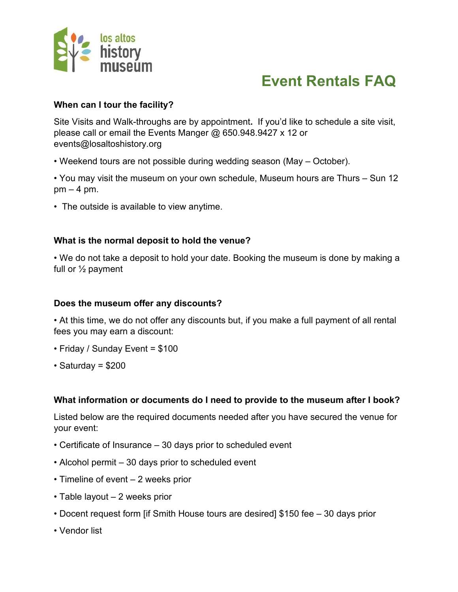

# **When can I tour the facility?**

Site Visits and Walk-throughs are by appointment**.** If you'd like to schedule a site visit, please call or email the Events Manger @ 650.948.9427 x 12 or events@losaltoshistory.org

- Weekend tours are not possible during wedding season (May October).
- You may visit the museum on your own schedule, Museum hours are Thurs Sun 12  $pm - 4 pm$ .
- The outside is available to view anytime.

## **What is the normal deposit to hold the venue?**

• We do not take a deposit to hold your date. Booking the museum is done by making a full or ½ payment

### **Does the museum offer any discounts?**

• At this time, we do not offer any discounts but, if you make a full payment of all rental fees you may earn a discount:

- Friday / Sunday Event = \$100
- $\cdot$  Saturday = \$200

# **What information or documents do I need to provide to the museum after I book?**

Listed below are the required documents needed after you have secured the venue for your event:

- Certificate of Insurance 30 days prior to scheduled event
- Alcohol permit 30 days prior to scheduled event
- Timeline of event 2 weeks prior
- Table layout 2 weeks prior
- Docent request form [if Smith House tours are desired] \$150 fee 30 days prior
- Vendor list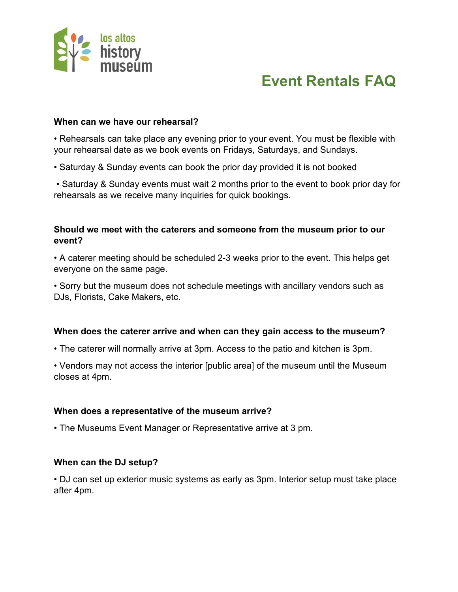

#### **When can we have our rehearsal?**

• Rehearsals can take place any evening prior to your event. You must be flexible with your rehearsal date as we book events on Fridays, Saturdays, and Sundays.

• Saturday & Sunday events can book the prior day provided it is not booked

• Saturday & Sunday events must wait 2 months prior to the event to book prior day for rehearsals as we receive many inquiries for quick bookings.

### **Should we meet with the caterers and someone from the museum prior to our event?**

• A caterer meeting should be scheduled 2-3 weeks prior to the event. This helps get everyone on the same page.

• Sorry but the museum does not schedule meetings with ancillary vendors such as DJs, Florists, Cake Makers, etc.

### **When does the caterer arrive and when can they gain access to the museum?**

• The caterer will normally arrive at 3pm. Access to the patio and kitchen is 3pm.

• Vendors may not access the interior [public area] of the museum until the Museum closes at 4pm.

### **When does a representative of the museum arrive?**

• The Museums Event Manager or Representative arrive at 3 pm.

### **When can the DJ setup?**

• DJ can set up exterior music systems as early as 3pm. Interior setup must take place after 4pm.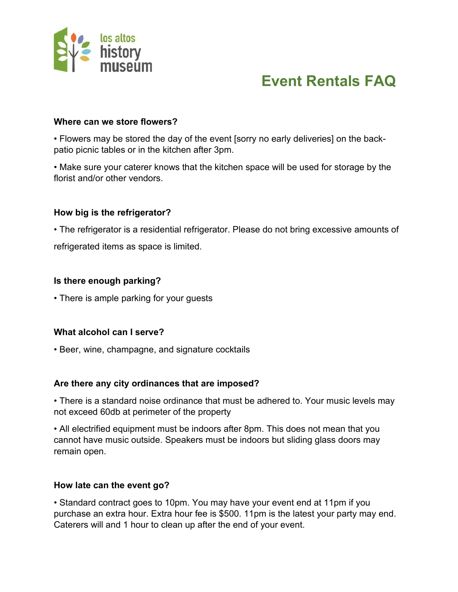

#### **Where can we store flowers?**

• Flowers may be stored the day of the event [sorry no early deliveries] on the backpatio picnic tables or in the kitchen after 3pm.

• Make sure your caterer knows that the kitchen space will be used for storage by the florist and/or other vendors.

## **How big is the refrigerator?**

• The refrigerator is a residential refrigerator. Please do not bring excessive amounts of refrigerated items as space is limited.

### **Is there enough parking?**

• There is ample parking for your guests

### **What alcohol can I serve?**

• Beer, wine, champagne, and signature cocktails

### **Are there any city ordinances that are imposed?**

• There is a standard noise ordinance that must be adhered to. Your music levels may not exceed 60db at perimeter of the property

• All electrified equipment must be indoors after 8pm. This does not mean that you cannot have music outside. Speakers must be indoors but sliding glass doors may remain open.

### **How late can the event go?**

• Standard contract goes to 10pm. You may have your event end at 11pm if you purchase an extra hour. Extra hour fee is \$500. 11pm is the latest your party may end. Caterers will and 1 hour to clean up after the end of your event.